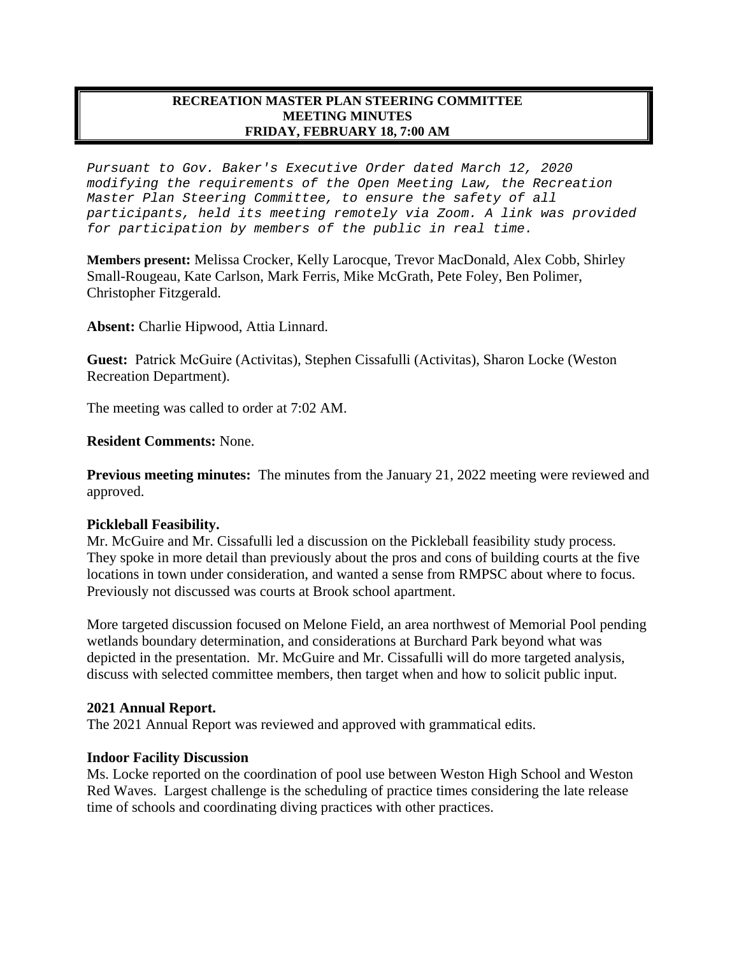#### **RECREATION MASTER PLAN STEERING COMMITTEE MEETING MINUTES FRIDAY, FEBRUARY 18, 7:00 AM**

*Pursuant to Gov. Baker's Executive Order dated March 12, 2020 modifying the requirements of the Open Meeting Law, the Recreation Master Plan Steering Committee, to ensure the safety of all participants, held its meeting remotely via Zoom. A link was provided for participation by members of the public in real time.*

**Members present:** Melissa Crocker, Kelly Larocque, Trevor MacDonald, Alex Cobb, Shirley Small-Rougeau, Kate Carlson, Mark Ferris, Mike McGrath, Pete Foley, Ben Polimer, Christopher Fitzgerald.

**Absent:** Charlie Hipwood, Attia Linnard.

**Guest:** Patrick McGuire (Activitas), Stephen Cissafulli (Activitas), Sharon Locke (Weston Recreation Department).

The meeting was called to order at 7:02 AM.

#### **Resident Comments:** None.

**Previous meeting minutes:** The minutes from the January 21, 2022 meeting were reviewed and approved.

### **Pickleball Feasibility.**

Mr. McGuire and Mr. Cissafulli led a discussion on the Pickleball feasibility study process. They spoke in more detail than previously about the pros and cons of building courts at the five locations in town under consideration, and wanted a sense from RMPSC about where to focus. Previously not discussed was courts at Brook school apartment.

More targeted discussion focused on Melone Field, an area northwest of Memorial Pool pending wetlands boundary determination, and considerations at Burchard Park beyond what was depicted in the presentation. Mr. McGuire and Mr. Cissafulli will do more targeted analysis, discuss with selected committee members, then target when and how to solicit public input.

#### **2021 Annual Report.**

The 2021 Annual Report was reviewed and approved with grammatical edits.

#### **Indoor Facility Discussion**

Ms. Locke reported on the coordination of pool use between Weston High School and Weston Red Waves. Largest challenge is the scheduling of practice times considering the late release time of schools and coordinating diving practices with other practices.